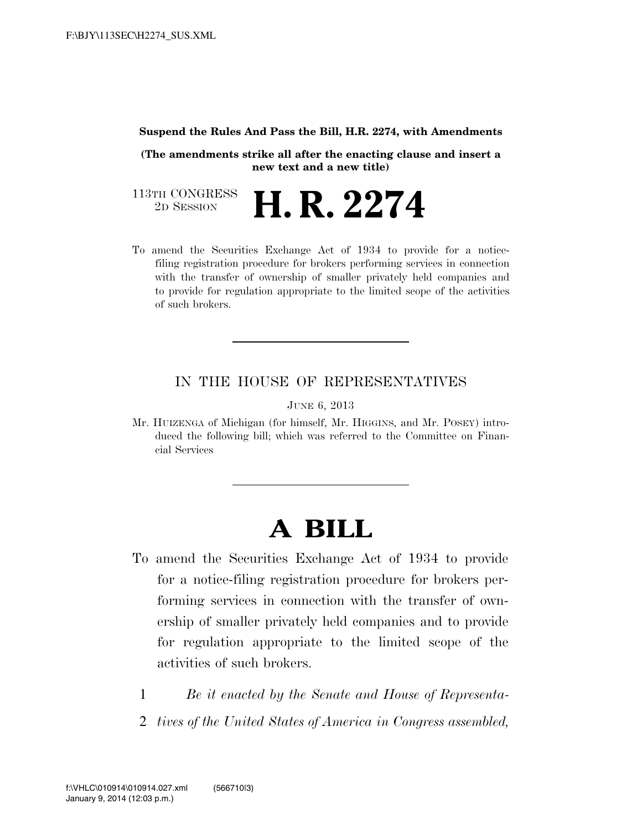#### **Suspend the Rules And Pass the Bill, H.R. 2274, with Amendments**

**(The amendments strike all after the enacting clause and insert a new text and a new title)**

113TH CONGRESS<br>2D SESSION 2D SESSION **H. R. 2274**

To amend the Securities Exchange Act of 1934 to provide for a noticefiling registration procedure for brokers performing services in connection with the transfer of ownership of smaller privately held companies and to provide for regulation appropriate to the limited scope of the activities of such brokers.

### IN THE HOUSE OF REPRESENTATIVES

JUNE 6, 2013

Mr. HUIZENGA of Michigan (for himself, Mr. HIGGINS, and Mr. POSEY) introduced the following bill; which was referred to the Committee on Financial Services

# **A BILL**

- To amend the Securities Exchange Act of 1934 to provide for a notice-filing registration procedure for brokers performing services in connection with the transfer of ownership of smaller privately held companies and to provide for regulation appropriate to the limited scope of the activities of such brokers.
	- 1 *Be it enacted by the Senate and House of Representa-*
	- 2 *tives of the United States of America in Congress assembled,*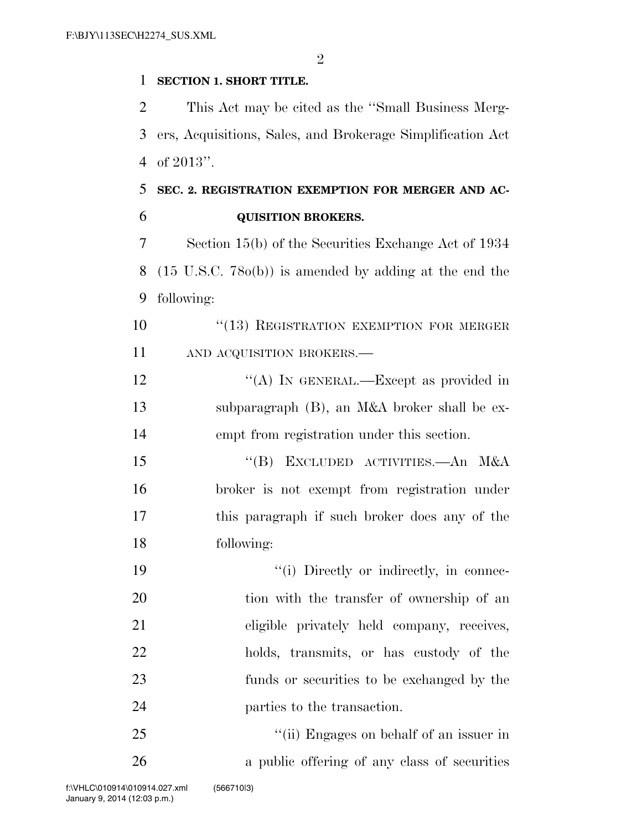$\mathfrak{D}$ 

#### **SECTION 1. SHORT TITLE.**

 This Act may be cited as the ''Small Business Merg- ers, Acquisitions, Sales, and Brokerage Simplification Act of 2013''.

## **SEC. 2. REGISTRATION EXEMPTION FOR MERGER AND AC-QUISITION BROKERS.**

 Section 15(b) of the Securities Exchange Act of 1934 (15 U.S.C. 78o(b)) is amended by adding at the end the following:

10 "(13) REGISTRATION EXEMPTION FOR MERGER 11 AND ACQUISITION BROKERS.—

12 "(A) IN GENERAL.—Except as provided in subparagraph (B), an M&A broker shall be ex-empt from registration under this section.

 ''(B) EXCLUDED ACTIVITIES.—An M&A broker is not exempt from registration under this paragraph if such broker does any of the following:

 $"$ (i) Directly or indirectly, in connec-20 tion with the transfer of ownership of an eligible privately held company, receives, holds, transmits, or has custody of the funds or securities to be exchanged by the parties to the transaction.

 ''(ii) Engages on behalf of an issuer in a public offering of any class of securities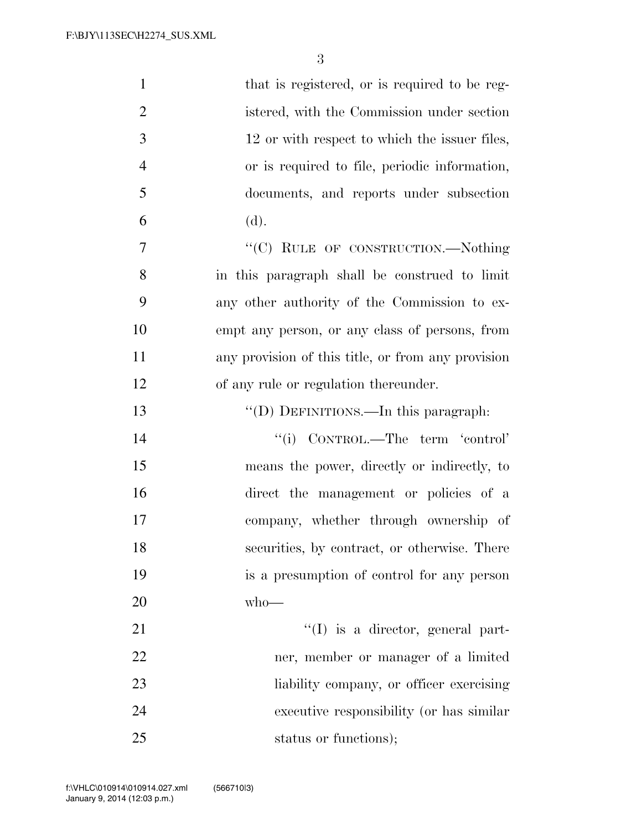| $\mathbf{1}$   | that is registered, or is required to be reg-      |
|----------------|----------------------------------------------------|
| $\overline{2}$ | istered, with the Commission under section         |
| 3              | 12 or with respect to which the issuer files,      |
| $\overline{4}$ | or is required to file, periodic information,      |
| 5              | documents, and reports under subsection            |
| 6              | (d).                                               |
| $\overline{7}$ | "(C) RULE OF CONSTRUCTION.-Nothing                 |
| 8              | in this paragraph shall be construed to limit      |
| 9              | any other authority of the Commission to ex-       |
| 10             | empt any person, or any class of persons, from     |
| 11             | any provision of this title, or from any provision |
| 12             | of any rule or regulation thereunder.              |
| 13             | "(D) DEFINITIONS.—In this paragraph:               |
| 14             | "(i) CONTROL.—The term 'control'                   |
| 15             | means the power, directly or indirectly, to        |
| 16             | direct the management or policies of a             |
| 17             | company, whether through ownership of              |
| 18             | securities, by contract, or otherwise. There       |
| 19             | is a presumption of control for any person         |
| 20             | $who$ —                                            |
| 21             | $\lq\lq$ is a director, general part-              |
| 22             | ner, member or manager of a limited                |
| 23             | liability company, or officer exercising           |
| 24             | executive responsibility (or has similar           |
| 25             | status or functions);                              |

 $V_{\rm eff}$  ) and 0.03  $\mu$  -Date 0.03  $\mu$  and 0.03  $\mu$  -Documental  $\mu$  and  $\mu$  and  $\mu$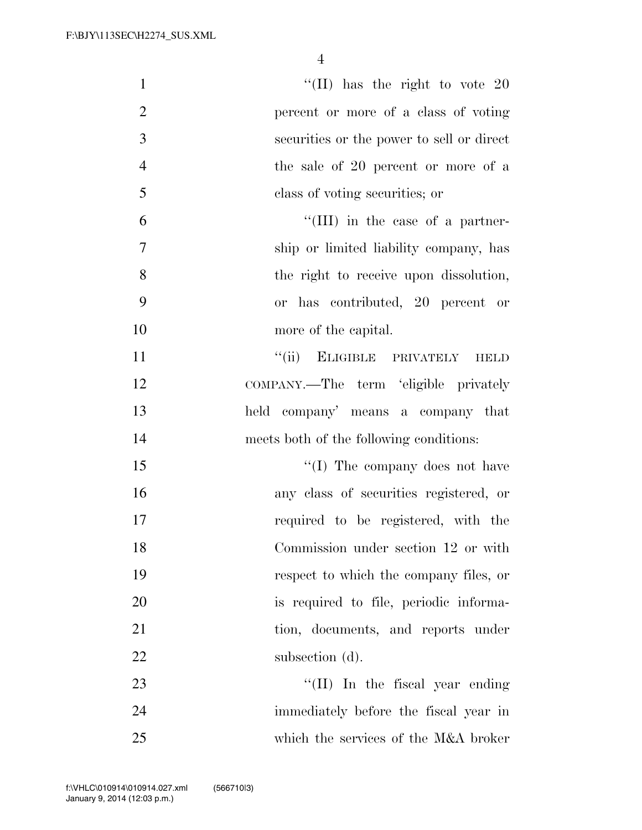| $\mathbf{1}$   | "(II) has the right to vote $20$          |
|----------------|-------------------------------------------|
| $\overline{2}$ | percent or more of a class of voting      |
| 3              | securities or the power to sell or direct |
| $\overline{4}$ | the sale of 20 percent or more of a       |
| 5              | class of voting securities; or            |
| 6              | "(III) in the case of a partner-          |
| $\tau$         | ship or limited liability company, has    |
| 8              | the right to receive upon dissolution,    |
| 9              | or has contributed, 20 percent or         |
| 10             | more of the capital.                      |
| 11             | "(ii) ELIGIBLE PRIVATELY<br><b>HELD</b>   |
| 12             | COMPANY.—The term 'eligible privately     |
| 13             | held company' means a company that        |
| 14             | meets both of the following conditions:   |
| 15             | "(I) The company does not have            |
| 16             | any class of securities registered, or    |
| 17             | required to be registered, with the       |
| 18             | Commission under section 12 or with       |
| 19             | respect to which the company files, or    |
| 20             | is required to file, periodic informa-    |
| 21             | tion, documents, and reports under        |
| 22             | subsection (d).                           |
| 23             | "(II) In the fiscal year ending           |
| 24             | immediately before the fiscal year in     |
| 25             | which the services of the M&A broker      |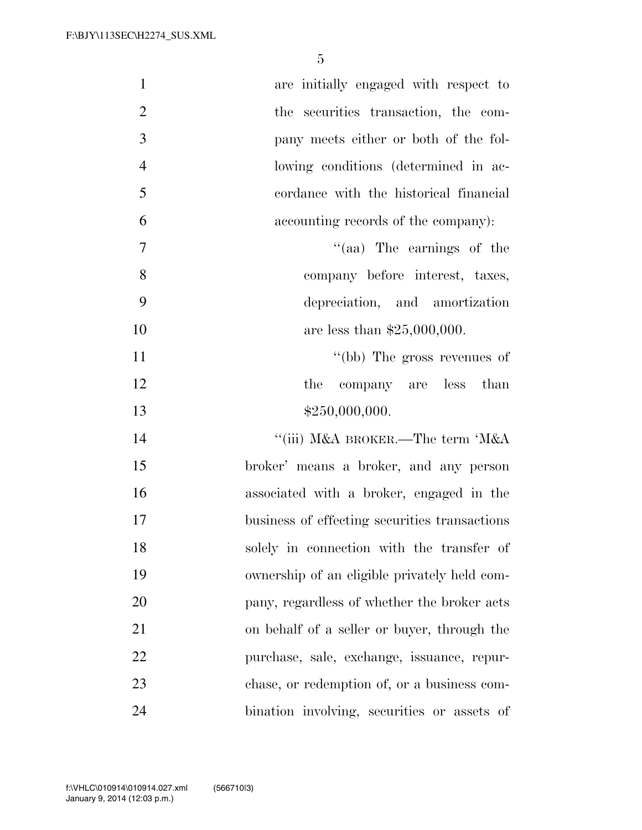| $\mathbf{1}$   | are initially engaged with respect to         |
|----------------|-----------------------------------------------|
| $\overline{2}$ | the securities transaction, the com-          |
| 3              | pany meets either or both of the fol-         |
| $\overline{4}$ | lowing conditions (determined in ac-          |
| 5              | cordance with the historical financial        |
| 6              | accounting records of the company):           |
| $\tau$         | "(aa) The earnings of the                     |
| 8              | company before interest, taxes,               |
| 9              | depreciation, and amortization                |
| 10             | are less than $$25,000,000$ .                 |
| 11             | "(bb) The gross revenues of                   |
| 12             | the company are less than                     |
| 13             | \$250,000,000.                                |
| 14             | "(iii) M&A BROKER.—The term 'M&A              |
| 15             | broker' means a broker, and any person        |
| 16             | associated with a broker, engaged in the      |
| 17             | business of effecting securities transactions |
| 18             | solely in connection with the transfer of     |
| 19             | ownership of an eligible privately held com-  |
| 20             | pany, regardless of whether the broker acts   |
| 21             | on behalf of a seller or buyer, through the   |
| 22             | purchase, sale, exchange, issuance, repur-    |
| 23             | chase, or redemption of, or a business com-   |
| 24             | bination involving, securities or assets of   |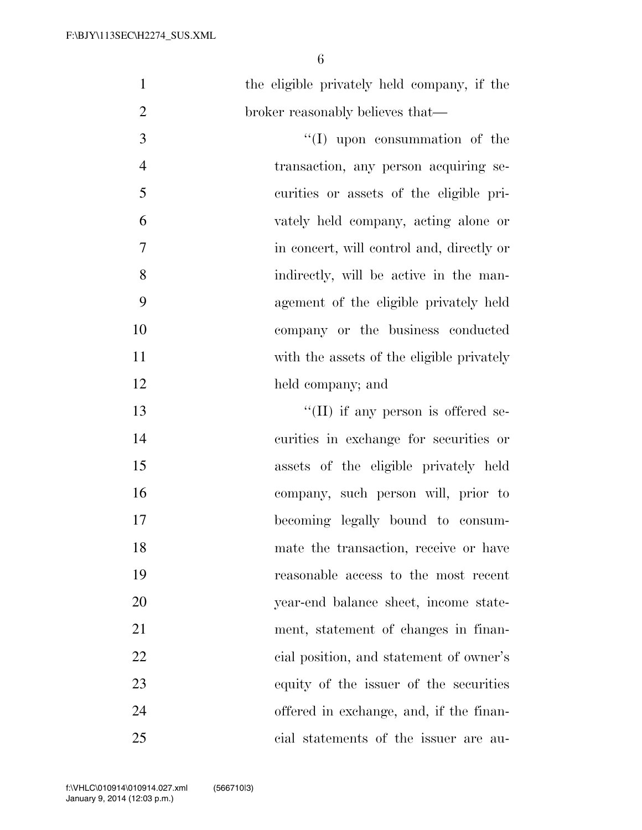| $\mathbf{1}$   | the eligible privately held company, if the |
|----------------|---------------------------------------------|
| $\overline{2}$ | broker reasonably believes that—            |
| 3              | $``(I)$ upon consummation of the            |
| $\overline{4}$ | transaction, any person acquiring se-       |
| 5              | curities or assets of the eligible pri-     |
| 6              | vately held company, acting alone or        |
| $\tau$         | in concert, will control and, directly or   |
| 8              | indirectly, will be active in the man-      |
| 9              | agement of the eligible privately held      |
| 10             | company or the business conducted           |
| 11             | with the assets of the eligible privately   |
| 12             | held company; and                           |
| 13             | $\lq\lq$ (II) if any person is offered se-  |
| 14             | curities in exchange for securities or      |
| 15             | assets of the eligible privately held       |
| 16             | company, such person will, prior to         |
| 17             | becoming legally bound to consum-           |
| 18             | mate the transaction, receive or have       |
| 19             | reasonable access to the most recent        |
| 20             | year-end balance sheet, income state-       |
| 21             | ment, statement of changes in finan-        |
| 22             | eial position, and statement of owner's     |
| 23             | equity of the issuer of the securities      |
| 24             | offered in exchange, and, if the finan-     |
| 25             | cial statements of the issuer are au-       |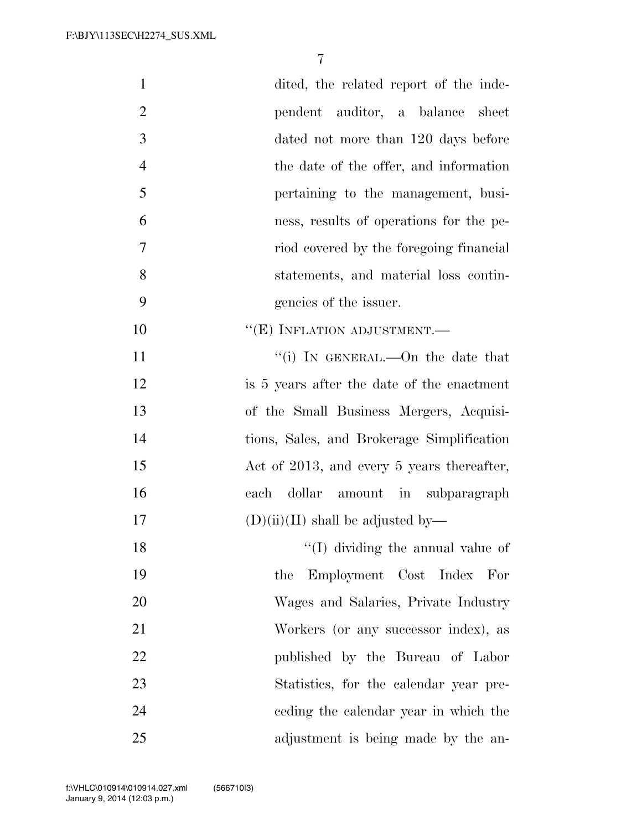| $\mathbf{1}$   | dited, the related report of the inde-     |
|----------------|--------------------------------------------|
| $\overline{2}$ | pendent auditor, a balance sheet           |
| 3              | dated not more than 120 days before        |
| $\overline{4}$ | the date of the offer, and information     |
| 5              | pertaining to the management, busi-        |
| 6              | ness, results of operations for the pe-    |
| $\overline{7}$ | riod covered by the foregoing financial    |
| 8              | statements, and material loss contin-      |
| 9              | gencies of the issuer.                     |
| 10             | $``(E)$ INFLATION ADJUSTMENT.—             |
| 11             | "(i) IN GENERAL.—On the date that          |
| 12             | is 5 years after the date of the enactment |
| 13             | of the Small Business Mergers, Acquisi-    |
| 14             | tions, Sales, and Brokerage Simplification |
| 15             | Act of 2013, and every 5 years thereafter, |
| 16             | dollar amount in subparagraph<br>each      |
| 17             | $(D)(ii)(II)$ shall be adjusted by—        |
| 18             | $\lq\lq$ (I) dividing the annual value of  |
| 19             | Employment Cost Index For<br>the           |
| 20             | Wages and Salaries, Private Industry       |
| 21             | Workers (or any successor index), as       |
| 22             | published by the Bureau of Labor           |
| 23             | Statistics, for the calendar year pre-     |
| 24             | eeding the calendar year in which the      |
| 25             | adjustment is being made by the an-        |